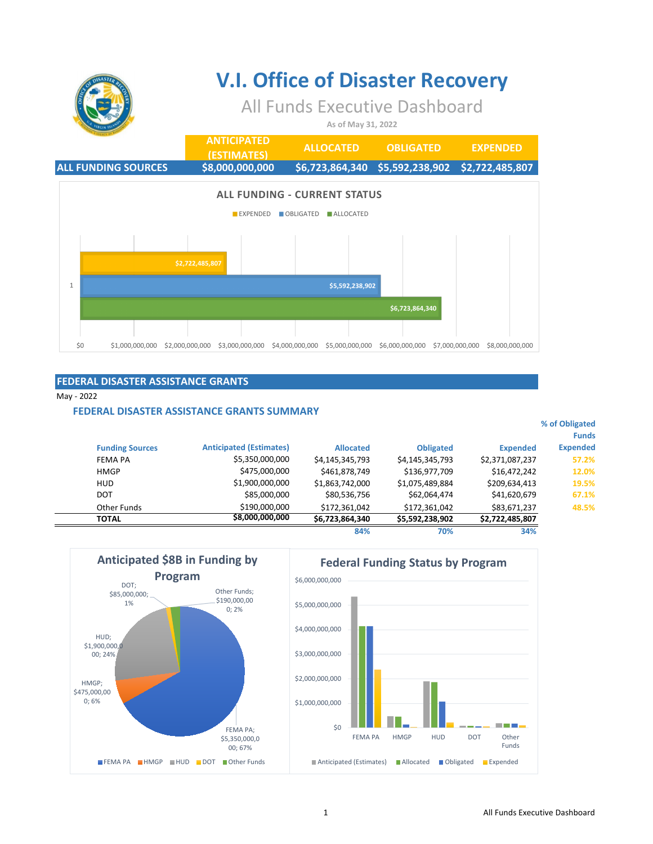

# **V.I. Office of Disaster Recovery**

### All Funds Executive Dashboard

**As of May 31, 2022**

|              |                            |                 | <b>ANTICIPATED</b><br>(ESTIMATES) |                                                         | <b>ALLOCATED</b>  | <b>OBLIGATED</b> |                 | <b>EXPENDED</b>                                 |
|--------------|----------------------------|-----------------|-----------------------------------|---------------------------------------------------------|-------------------|------------------|-----------------|-------------------------------------------------|
|              | <b>ALL FUNDING SOURCES</b> |                 | \$8,000,000,000                   |                                                         |                   |                  |                 | \$6,723,864,340 \$5,592,238,902 \$2,722,485,807 |
|              |                            |                 | <b>EXPENDED</b>                   | <b>ALL FUNDING - CURRENT STATUS</b><br><b>OBLIGATED</b> | $\n  ALLOCATED\n$ |                  |                 |                                                 |
|              |                            |                 |                                   |                                                         |                   |                  |                 |                                                 |
|              |                            | \$2,722,485,807 |                                   |                                                         |                   |                  |                 |                                                 |
| $\mathbf{1}$ |                            |                 |                                   | \$5,592,238,902                                         |                   |                  |                 |                                                 |
|              |                            |                 |                                   |                                                         |                   | \$6,723,864,340  |                 |                                                 |
|              |                            |                 |                                   |                                                         |                   |                  |                 |                                                 |
| \$0          | \$1,000,000,000            | \$2,000,000,000 | \$3,000,000,000                   | \$4,000,000,000                                         | \$5,000,000,000   | \$6,000,000,000  | \$7,000,000,000 | \$8,000,000,000                                 |

### **FEDERAL DISASTER ASSISTANCE GRANTS**

May - 2022

i.  $\overline{a}$ 

#### **FEDERAL DISASTER ASSISTANCE GRANTS SUMMARY**

| % of Obligated<br><b>Funds</b> |                 |                  |                  |                                |                        |
|--------------------------------|-----------------|------------------|------------------|--------------------------------|------------------------|
| <b>Expended</b>                | <b>Expended</b> | <b>Obligated</b> | <b>Allocated</b> | <b>Anticipated (Estimates)</b> | <b>Funding Sources</b> |
| 57.2%                          | \$2,371,087,237 | \$4,145,345,793  | \$4,145,345,793  | \$5,350,000,000                | FEMA PA                |
| 12.0%                          | \$16,472,242    | \$136,977,709    | \$461,878,749    | \$475,000,000                  | <b>HMGP</b>            |
| 19.5%                          | \$209,634,413   | \$1,075,489,884  | \$1,863,742,000  | \$1,900,000,000                | <b>HUD</b>             |
| 67.1%                          | \$41,620,679    | \$62,064,474     | \$80,536,756     | \$85,000,000                   | <b>DOT</b>             |
| 48.5%                          | \$83,671,237    | \$172,361,042    | \$172,361,042    | \$190,000,000                  | Other Funds            |
|                                | \$2,722,485,807 | \$5,592,238,902  | \$6,723,864,340  | \$8,000,000,000                | <b>TOTAL</b>           |
|                                | 200             | TAR              | 0.801            |                                |                        |

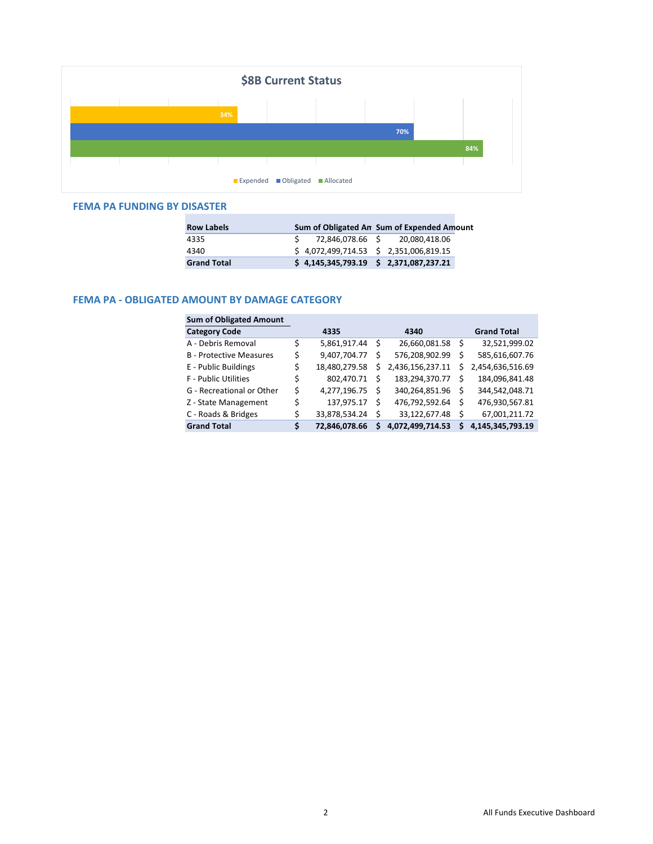

#### **FEMA PA FUNDING BY DISASTER**

| <b>Row Labels</b>  | Sum of Obligated An Sum of Expended Amount |
|--------------------|--------------------------------------------|
| 4335               | 72,846,078.66 \$ 20,080,418.06             |
| 4340               | $$4,072,499,714.53 \t$2,351,006,819.15$    |
| <b>Grand Total</b> | $$4,145,345,793.19$ $$2,371,087,237.21$    |

#### **FEMA PA - OBLIGATED AMOUNT BY DAMAGE CATEGORY**

| <b>Sum of Obligated Amount</b> |                     |    |                  |    |                    |
|--------------------------------|---------------------|----|------------------|----|--------------------|
| <b>Category Code</b>           | 4335                |    | 4340             |    | <b>Grand Total</b> |
| A - Debris Removal             | \$<br>5,861,917.44  | S  | 26,660,081.58    | .s | 32,521,999.02      |
| <b>B</b> - Protective Measures | \$<br>9,407,704.77  | S  | 576,208,902.99   | S  | 585,616,607.76     |
| E - Public Buildings           | \$<br>18,480,279.58 | S. | 2,436,156,237.11 | Ś  | 2,454,636,516.69   |
| <b>F</b> - Public Utilities    | \$<br>802,470.71    | S  | 183,294,370.77   | Ŝ. | 184,096,841.48     |
| G - Recreational or Other      | \$<br>4,277,196.75  | S  | 340,264,851.96   | Ŝ  | 344,542,048.71     |
| Z - State Management           | \$<br>137,975.17    | S  | 476,792,592.64   | Ŝ  | 476,930,567.81     |
| C - Roads & Bridges            | \$<br>33,878,534.24 | Ś  | 33,122,677.48    | Ŝ  | 67,001,211.72      |
| <b>Grand Total</b>             | \$<br>72,846,078.66 | s  | 4,072,499,714.53 | S  | 4,145,345,793.19   |